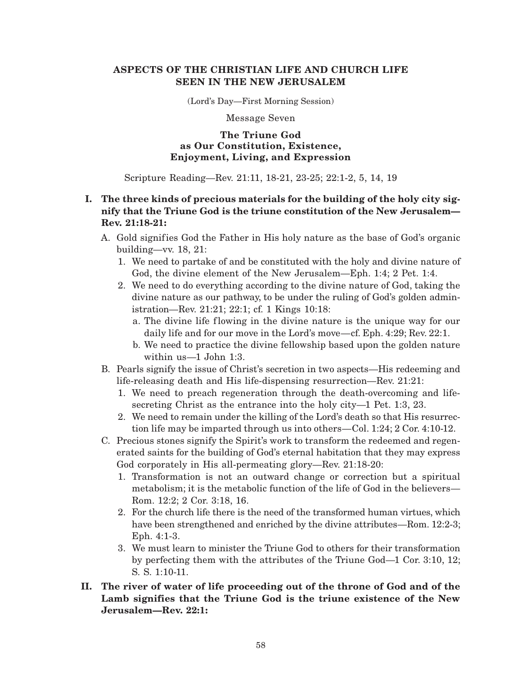### **ASPECTS OF THE CHRISTIAN LIFE AND CHURCH LIFE SEEN IN THE NEW JERUSALEM**

(Lord's Day—First Morning Session)

Message Seven

### **The Triune God as Our Constitution, Existence, Enjoyment, Living, and Expression**

Scripture Reading—Rev. 21:11, 18-21, 23-25; 22:1-2, 5, 14, 19

# **I. The three kinds of precious materials for the building of the holy city signify that the Triune God is the triune constitution of the New Jerusalem— Rev. 21:18-21:**

- A. Gold signifies God the Father in His holy nature as the base of God's organic building—vv. 18, 21:
	- 1. We need to partake of and be constituted with the holy and divine nature of God, the divine element of the New Jerusalem—Eph. 1:4; 2 Pet. 1:4.
	- 2. We need to do everything according to the divine nature of God, taking the divine nature as our pathway, to be under the ruling of God's golden administration—Rev. 21:21; 22:1; cf. 1 Kings 10:18:
		- a. The divine life flowing in the divine nature is the unique way for our daily life and for our move in the Lord's move—cf. Eph. 4:29; Rev. 22:1.
		- b. We need to practice the divine fellowship based upon the golden nature within us—1 John 1:3.
- B. Pearls signify the issue of Christ's secretion in two aspects—His redeeming and life-releasing death and His life-dispensing resurrection—Rev. 21:21:
	- 1. We need to preach regeneration through the death-overcoming and lifesecreting Christ as the entrance into the holy city—1 Pet. 1:3, 23.
	- 2. We need to remain under the killing of the Lord's death so that His resurrection life may be imparted through us into others—Col. 1:24; 2 Cor. 4:10-12.
- C. Precious stones signify the Spirit's work to transform the redeemed and regenerated saints for the building of God's eternal habitation that they may express God corporately in His all-permeating glory—Rev. 21:18-20:
	- 1. Transformation is not an outward change or correction but a spiritual metabolism; it is the metabolic function of the life of God in the believers— Rom. 12:2; 2 Cor. 3:18, 16.
	- 2. For the church life there is the need of the transformed human virtues, which have been strengthened and enriched by the divine attributes—Rom. 12:2-3; Eph. 4:1-3.
	- 3. We must learn to minister the Triune God to others for their transformation by perfecting them with the attributes of the Triune God—1 Cor. 3:10, 12; S. S. 1:10-11.
- **II. The river of water of life proceeding out of the throne of God and of the Lamb signifies that the Triune God is the triune existence of the New Jerusalem—Rev. 22:1:**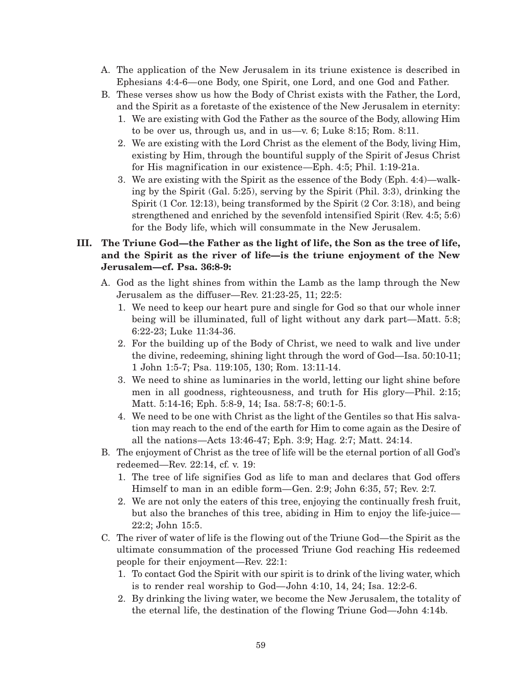- A. The application of the New Jerusalem in its triune existence is described in Ephesians 4:4-6—one Body, one Spirit, one Lord, and one God and Father.
- B. These verses show us how the Body of Christ exists with the Father, the Lord, and the Spirit as a foretaste of the existence of the New Jerusalem in eternity:
	- 1. We are existing with God the Father as the source of the Body, allowing Him to be over us, through us, and in us—v. 6; Luke 8:15; Rom. 8:11.
	- 2. We are existing with the Lord Christ as the element of the Body, living Him, existing by Him, through the bountiful supply of the Spirit of Jesus Christ for His magnification in our existence—Eph. 4:5; Phil. 1:19-21a.
	- 3. We are existing with the Spirit as the essence of the Body (Eph. 4:4)—walking by the Spirit (Gal. 5:25), serving by the Spirit (Phil. 3:3), drinking the Spirit (1 Cor. 12:13), being transformed by the Spirit (2 Cor. 3:18), and being strengthened and enriched by the sevenfold intensified Spirit (Rev. 4:5; 5:6) for the Body life, which will consummate in the New Jerusalem.

# **III. The Triune God—the Father as the light of life, the Son as the tree of life, and the Spirit as the river of life—is the triune enjoyment of the New Jerusalem—cf. Psa. 36:8-9:**

- A. God as the light shines from within the Lamb as the lamp through the New Jerusalem as the diffuser—Rev. 21:23-25, 11; 22:5:
	- 1. We need to keep our heart pure and single for God so that our whole inner being will be illuminated, full of light without any dark part—Matt. 5:8; 6:22-23; Luke 11:34-36.
	- 2. For the building up of the Body of Christ, we need to walk and live under the divine, redeeming, shining light through the word of God—Isa. 50:10-11; 1 John 1:5-7; Psa. 119:105, 130; Rom. 13:11-14.
	- 3. We need to shine as luminaries in the world, letting our light shine before men in all goodness, righteousness, and truth for His glory—Phil. 2:15; Matt. 5:14-16; Eph. 5:8-9, 14; Isa. 58:7-8; 60:1-5.
	- 4. We need to be one with Christ as the light of the Gentiles so that His salvation may reach to the end of the earth for Him to come again as the Desire of all the nations—Acts 13:46-47; Eph. 3:9; Hag. 2:7; Matt. 24:14.
- B. The enjoyment of Christ as the tree of life will be the eternal portion of all God's redeemed—Rev. 22:14, cf. v. 19:
	- 1. The tree of life signifies God as life to man and declares that God offers Himself to man in an edible form—Gen. 2:9; John 6:35, 57; Rev. 2:7.
	- 2. We are not only the eaters of this tree, enjoying the continually fresh fruit, but also the branches of this tree, abiding in Him to enjoy the life-juice— 22:2; John 15:5.
- C. The river of water of life is the flowing out of the Triune God—the Spirit as the ultimate consummation of the processed Triune God reaching His redeemed people for their enjoyment—Rev. 22:1:
	- 1. To contact God the Spirit with our spirit is to drink of the living water, which is to render real worship to God—John 4:10, 14, 24; Isa. 12:2-6.
	- 2. By drinking the living water, we become the New Jerusalem, the totality of the eternal life, the destination of the flowing Triune God—John 4:14b.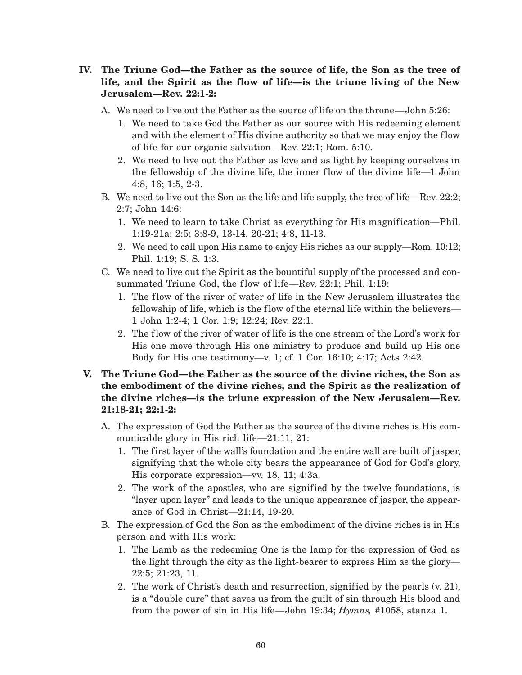- **IV. The Triune God—the Father as the source of life, the Son as the tree of life, and the Spirit as the flow of life—is the triune living of the New Jerusalem—Rev. 22:1-2:**
	- A. We need to live out the Father as the source of life on the throne—John 5:26:
		- 1. We need to take God the Father as our source with His redeeming element and with the element of His divine authority so that we may enjoy the flow of life for our organic salvation—Rev. 22:1; Rom. 5:10.
		- 2. We need to live out the Father as love and as light by keeping ourselves in the fellowship of the divine life, the inner flow of the divine life—1 John 4:8, 16; 1:5, 2-3.
	- B. We need to live out the Son as the life and life supply, the tree of life—Rev. 22:2; 2:7; John 14:6:
		- 1. We need to learn to take Christ as everything for His magnification—Phil. 1:19-21a; 2:5; 3:8-9, 13-14, 20-21; 4:8, 11-13.
		- 2. We need to call upon His name to enjoy His riches as our supply—Rom. 10:12; Phil. 1:19; S. S. 1:3.
	- C. We need to live out the Spirit as the bountiful supply of the processed and consummated Triune God, the flow of life—Rev. 22:1; Phil. 1:19:
		- 1. The flow of the river of water of life in the New Jerusalem illustrates the fellowship of life, which is the flow of the eternal life within the believers— 1 John 1:2-4; 1 Cor. 1:9; 12:24; Rev. 22:1.
		- 2. The flow of the river of water of life is the one stream of the Lord's work for His one move through His one ministry to produce and build up His one Body for His one testimony—v. 1; cf. 1 Cor. 16:10; 4:17; Acts 2:42.
- **V. The Triune God—the Father as the source of the divine riches, the Son as the embodiment of the divine riches, and the Spirit as the realization of the divine riches—is the triune expression of the New Jerusalem—Rev. 21:18-21; 22:1-2:**
	- A. The expression of God the Father as the source of the divine riches is His communicable glory in His rich life—21:11, 21:
		- 1. The first layer of the wall's foundation and the entire wall are built of jasper, signifying that the whole city bears the appearance of God for God's glory, His corporate expression—vv. 18, 11; 4:3a.
		- 2. The work of the apostles, who are signified by the twelve foundations, is "layer upon layer" and leads to the unique appearance of jasper, the appearance of God in Christ—21:14, 19-20.
	- B. The expression of God the Son as the embodiment of the divine riches is in His person and with His work:
		- 1. The Lamb as the redeeming One is the lamp for the expression of God as the light through the city as the light-bearer to express Him as the glory— 22:5; 21:23, 11.
		- 2. The work of Christ's death and resurrection, signified by the pearls (v. 21), is a "double cure" that saves us from the guilt of sin through His blood and from the power of sin in His life—John 19:34; *Hymns,* #1058, stanza 1.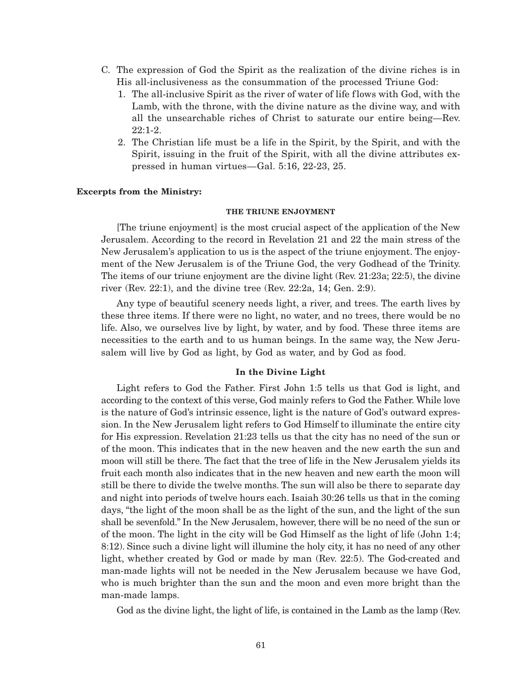- C. The expression of God the Spirit as the realization of the divine riches is in His all-inclusiveness as the consummation of the processed Triune God:
	- 1. The all-inclusive Spirit as the river of water of life flows with God, with the Lamb, with the throne, with the divine nature as the divine way, and with all the unsearchable riches of Christ to saturate our entire being—Rev. 22:1-2.
	- 2. The Christian life must be a life in the Spirit, by the Spirit, and with the Spirit, issuing in the fruit of the Spirit, with all the divine attributes expressed in human virtues—Gal. 5:16, 22-23, 25.

#### **Excerpts from the Ministry:**

#### **THE TRIUNE ENJOYMENT**

[The triune enjoyment] is the most crucial aspect of the application of the New Jerusalem. According to the record in Revelation 21 and 22 the main stress of the New Jerusalem's application to us is the aspect of the triune enjoyment. The enjoyment of the New Jerusalem is of the Triune God, the very Godhead of the Trinity. The items of our triune enjoyment are the divine light (Rev. 21:23a; 22:5), the divine river (Rev. 22:1), and the divine tree (Rev. 22:2a, 14; Gen. 2:9).

Any type of beautiful scenery needs light, a river, and trees. The earth lives by these three items. If there were no light, no water, and no trees, there would be no life. Also, we ourselves live by light, by water, and by food. These three items are necessities to the earth and to us human beings. In the same way, the New Jerusalem will live by God as light, by God as water, and by God as food.

#### **In the Divine Light**

Light refers to God the Father. First John 1:5 tells us that God is light, and according to the context of this verse, God mainly refers to God the Father. While love is the nature of God's intrinsic essence, light is the nature of God's outward expression. In the New Jerusalem light refers to God Himself to illuminate the entire city for His expression. Revelation 21:23 tells us that the city has no need of the sun or of the moon. This indicates that in the new heaven and the new earth the sun and moon will still be there. The fact that the tree of life in the New Jerusalem yields its fruit each month also indicates that in the new heaven and new earth the moon will still be there to divide the twelve months. The sun will also be there to separate day and night into periods of twelve hours each. Isaiah 30:26 tells us that in the coming days, "the light of the moon shall be as the light of the sun, and the light of the sun shall be sevenfold." In the New Jerusalem, however, there will be no need of the sun or of the moon. The light in the city will be God Himself as the light of life (John 1:4; 8:12). Since such a divine light will illumine the holy city, it has no need of any other light, whether created by God or made by man (Rev. 22:5). The God-created and man-made lights will not be needed in the New Jerusalem because we have God, who is much brighter than the sun and the moon and even more bright than the man-made lamps.

God as the divine light, the light of life, is contained in the Lamb as the lamp (Rev.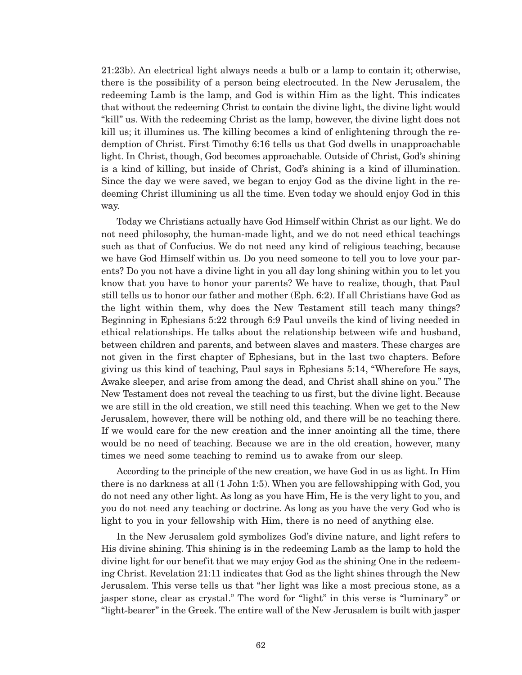21:23b). An electrical light always needs a bulb or a lamp to contain it; otherwise, there is the possibility of a person being electrocuted. In the New Jerusalem, the redeeming Lamb is the lamp, and God is within Him as the light. This indicates that without the redeeming Christ to contain the divine light, the divine light would "kill" us. With the redeeming Christ as the lamp, however, the divine light does not kill us; it illumines us. The killing becomes a kind of enlightening through the redemption of Christ. First Timothy 6:16 tells us that God dwells in unapproachable light. In Christ, though, God becomes approachable. Outside of Christ, God's shining is a kind of killing, but inside of Christ, God's shining is a kind of illumination. Since the day we were saved, we began to enjoy God as the divine light in the redeeming Christ illumining us all the time. Even today we should enjoy God in this way.

Today we Christians actually have God Himself within Christ as our light. We do not need philosophy, the human-made light, and we do not need ethical teachings such as that of Confucius. We do not need any kind of religious teaching, because we have God Himself within us. Do you need someone to tell you to love your parents? Do you not have a divine light in you all day long shining within you to let you know that you have to honor your parents? We have to realize, though, that Paul still tells us to honor our father and mother (Eph. 6:2). If all Christians have God as the light within them, why does the New Testament still teach many things? Beginning in Ephesians 5:22 through 6:9 Paul unveils the kind of living needed in ethical relationships. He talks about the relationship between wife and husband, between children and parents, and between slaves and masters. These charges are not given in the first chapter of Ephesians, but in the last two chapters. Before giving us this kind of teaching, Paul says in Ephesians 5:14, "Wherefore He says, Awake sleeper, and arise from among the dead, and Christ shall shine on you." The New Testament does not reveal the teaching to us first, but the divine light. Because we are still in the old creation, we still need this teaching. When we get to the New Jerusalem, however, there will be nothing old, and there will be no teaching there. If we would care for the new creation and the inner anointing all the time, there would be no need of teaching. Because we are in the old creation, however, many times we need some teaching to remind us to awake from our sleep.

According to the principle of the new creation, we have God in us as light. In Him there is no darkness at all (1 John 1:5). When you are fellowshipping with God, you do not need any other light. As long as you have Him, He is the very light to you, and you do not need any teaching or doctrine. As long as you have the very God who is light to you in your fellowship with Him, there is no need of anything else.

In the New Jerusalem gold symbolizes God's divine nature, and light refers to His divine shining. This shining is in the redeeming Lamb as the lamp to hold the divine light for our benefit that we may enjoy God as the shining One in the redeeming Christ. Revelation 21:11 indicates that God as the light shines through the New Jerusalem. This verse tells us that "her light was like a most precious stone, as a jasper stone, clear as crystal." The word for "light" in this verse is "luminary" or "light-bearer" in the Greek. The entire wall of the New Jerusalem is built with jasper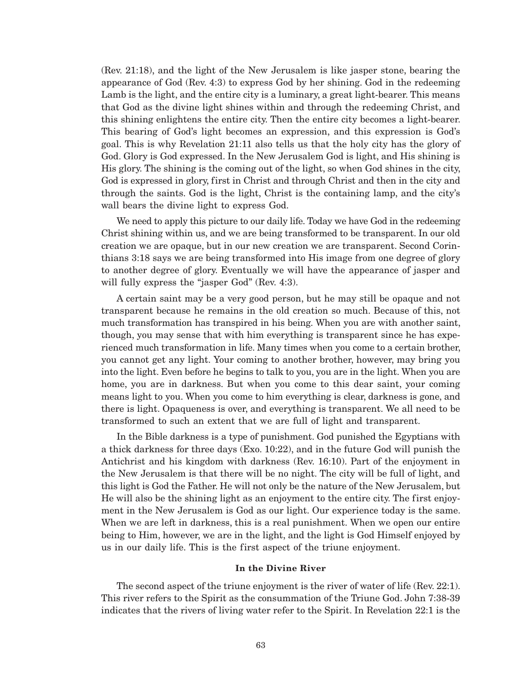(Rev. 21:18), and the light of the New Jerusalem is like jasper stone, bearing the appearance of God (Rev. 4:3) to express God by her shining. God in the redeeming Lamb is the light, and the entire city is a luminary, a great light-bearer. This means that God as the divine light shines within and through the redeeming Christ, and this shining enlightens the entire city. Then the entire city becomes a light-bearer. This bearing of God's light becomes an expression, and this expression is God's goal. This is why Revelation 21:11 also tells us that the holy city has the glory of God. Glory is God expressed. In the New Jerusalem God is light, and His shining is His glory. The shining is the coming out of the light, so when God shines in the city, God is expressed in glory, first in Christ and through Christ and then in the city and through the saints. God is the light, Christ is the containing lamp, and the city's wall bears the divine light to express God.

We need to apply this picture to our daily life. Today we have God in the redeeming Christ shining within us, and we are being transformed to be transparent. In our old creation we are opaque, but in our new creation we are transparent. Second Corinthians 3:18 says we are being transformed into His image from one degree of glory to another degree of glory. Eventually we will have the appearance of jasper and will fully express the "jasper God" (Rev. 4:3).

A certain saint may be a very good person, but he may still be opaque and not transparent because he remains in the old creation so much. Because of this, not much transformation has transpired in his being. When you are with another saint, though, you may sense that with him everything is transparent since he has experienced much transformation in life. Many times when you come to a certain brother, you cannot get any light. Your coming to another brother, however, may bring you into the light. Even before he begins to talk to you, you are in the light. When you are home, you are in darkness. But when you come to this dear saint, your coming means light to you. When you come to him everything is clear, darkness is gone, and there is light. Opaqueness is over, and everything is transparent. We all need to be transformed to such an extent that we are full of light and transparent.

In the Bible darkness is a type of punishment. God punished the Egyptians with a thick darkness for three days (Exo. 10:22), and in the future God will punish the Antichrist and his kingdom with darkness (Rev. 16:10). Part of the enjoyment in the New Jerusalem is that there will be no night. The city will be full of light, and this light is God the Father. He will not only be the nature of the New Jerusalem, but He will also be the shining light as an enjoyment to the entire city. The first enjoyment in the New Jerusalem is God as our light. Our experience today is the same. When we are left in darkness, this is a real punishment. When we open our entire being to Him, however, we are in the light, and the light is God Himself enjoyed by us in our daily life. This is the first aspect of the triune enjoyment.

#### **In the Divine River**

The second aspect of the triune enjoyment is the river of water of life (Rev. 22:1). This river refers to the Spirit as the consummation of the Triune God. John 7:38-39 indicates that the rivers of living water refer to the Spirit. In Revelation 22:1 is the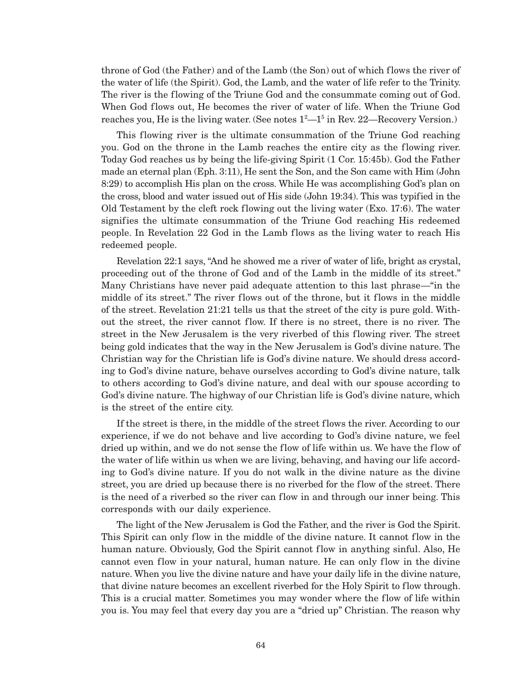throne of God (the Father) and of the Lamb (the Son) out of which flows the river of the water of life (the Spirit). God, the Lamb, and the water of life refer to the Trinity. The river is the flowing of the Triune God and the consummate coming out of God. When God flows out, He becomes the river of water of life. When the Triune God reaches you, He is the living water. (See notes  $1^2-1^5$  in Rev. 22—Recovery Version.)

This flowing river is the ultimate consummation of the Triune God reaching you. God on the throne in the Lamb reaches the entire city as the flowing river. Today God reaches us by being the life-giving Spirit (1 Cor. 15:45b). God the Father made an eternal plan (Eph. 3:11), He sent the Son, and the Son came with Him (John 8:29) to accomplish His plan on the cross. While He was accomplishing God's plan on the cross, blood and water issued out of His side (John 19:34). This was typified in the Old Testament by the cleft rock flowing out the living water (Exo. 17:6). The water signifies the ultimate consummation of the Triune God reaching His redeemed people. In Revelation 22 God in the Lamb flows as the living water to reach His redeemed people.

Revelation 22:1 says, "And he showed me a river of water of life, bright as crystal, proceeding out of the throne of God and of the Lamb in the middle of its street." Many Christians have never paid adequate attention to this last phrase—"in the middle of its street." The river flows out of the throne, but it flows in the middle of the street. Revelation 21:21 tells us that the street of the city is pure gold. Without the street, the river cannot flow. If there is no street, there is no river. The street in the New Jerusalem is the very riverbed of this flowing river. The street being gold indicates that the way in the New Jerusalem is God's divine nature. The Christian way for the Christian life is God's divine nature. We should dress according to God's divine nature, behave ourselves according to God's divine nature, talk to others according to God's divine nature, and deal with our spouse according to God's divine nature. The highway of our Christian life is God's divine nature, which is the street of the entire city.

If the street is there, in the middle of the street flows the river. According to our experience, if we do not behave and live according to God's divine nature, we feel dried up within, and we do not sense the flow of life within us. We have the flow of the water of life within us when we are living, behaving, and having our life according to God's divine nature. If you do not walk in the divine nature as the divine street, you are dried up because there is no riverbed for the flow of the street. There is the need of a riverbed so the river can flow in and through our inner being. This corresponds with our daily experience.

The light of the New Jerusalem is God the Father, and the river is God the Spirit. This Spirit can only flow in the middle of the divine nature. It cannot flow in the human nature. Obviously, God the Spirit cannot flow in anything sinful. Also, He cannot even flow in your natural, human nature. He can only flow in the divine nature. When you live the divine nature and have your daily life in the divine nature, that divine nature becomes an excellent riverbed for the Holy Spirit to flow through. This is a crucial matter. Sometimes you may wonder where the flow of life within you is. You may feel that every day you are a "dried up" Christian. The reason why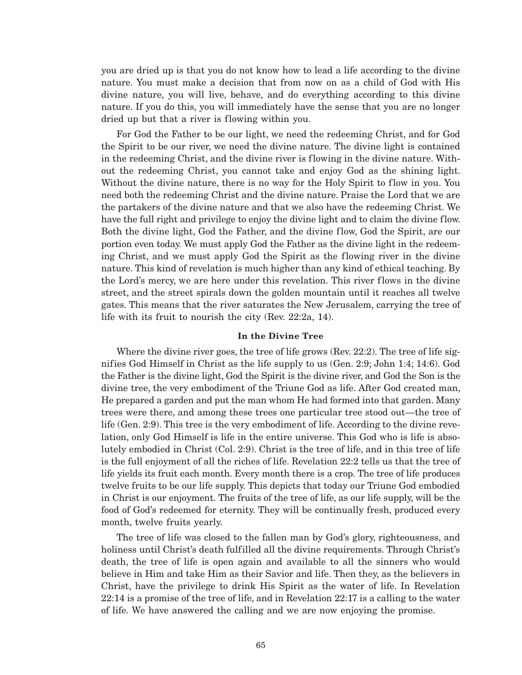you are dried up is that you do not know how to lead a life according to the divine nature. You must make a decision that from now on as a child of God with His divine nature, you will live, behave, and do everything according to this divine nature. If you do this, you will immediately have the sense that you are no longer dried up but that a river is flowing within you.

For God the Father to be our light, we need the redeeming Christ, and for God the Spirit to be our river, we need the divine nature. The divine light is contained in the redeeming Christ, and the divine river is flowing in the divine nature. Without the redeeming Christ, you cannot take and enjoy God as the shining light. Without the divine nature, there is no way for the Holy Spirit to flow in you. You need both the redeeming Christ and the divine nature. Praise the Lord that we are the partakers of the divine nature and that we also have the redeeming Christ. We have the full right and privilege to enjoy the divine light and to claim the divine flow. Both the divine light, God the Father, and the divine flow, God the Spirit, are our portion even today. We must apply God the Father as the divine light in the redeeming Christ, and we must apply God the Spirit as the flowing river in the divine nature. This kind of revelation is much higher than any kind of ethical teaching. By the Lord's mercy, we are here under this revelation. This river flows in the divine street, and the street spirals down the golden mountain until it reaches all twelve gates. This means that the river saturates the New Jerusalem, carrying the tree of life with its fruit to nourish the city (Rev. 22:2a, 14).

#### **In the Divine Tree**

Where the divine river goes, the tree of life grows (Rev. 22:2). The tree of life signifies God Himself in Christ as the life supply to us (Gen. 2:9; John 1:4; 14:6). God the Father is the divine light, God the Spirit is the divine river, and God the Son is the divine tree, the very embodiment of the Triune God as life. After God created man, He prepared a garden and put the man whom He had formed into that garden. Many trees were there, and among these trees one particular tree stood out—the tree of life (Gen. 2:9). This tree is the very embodiment of life. According to the divine revelation, only God Himself is life in the entire universe. This God who is life is absolutely embodied in Christ (Col. 2:9). Christ is the tree of life, and in this tree of life is the full enjoyment of all the riches of life. Revelation 22:2 tells us that the tree of life yields its fruit each month. Every month there is a crop. The tree of life produces twelve fruits to be our life supply. This depicts that today our Triune God embodied in Christ is our enjoyment. The fruits of the tree of life, as our life supply, will be the food of God's redeemed for eternity. They will be continually fresh, produced every month, twelve fruits yearly.

The tree of life was closed to the fallen man by God's glory, righteousness, and holiness until Christ's death fulfilled all the divine requirements. Through Christ's death, the tree of life is open again and available to all the sinners who would believe in Him and take Him as their Savior and life. Then they, as the believers in Christ, have the privilege to drink His Spirit as the water of life. In Revelation 22:14 is a promise of the tree of life, and in Revelation 22:17 is a calling to the water of life. We have answered the calling and we are now enjoying the promise.